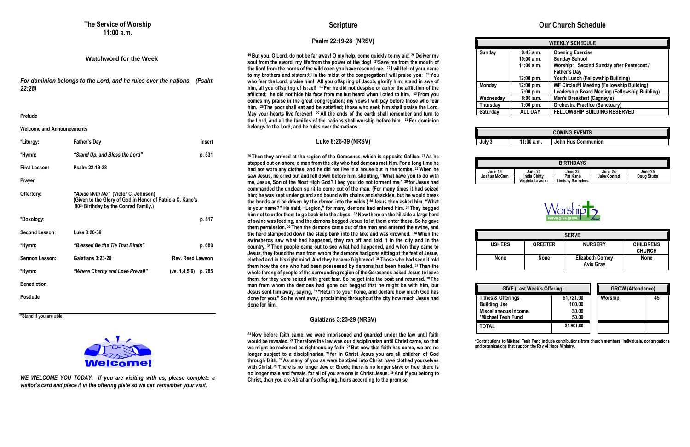#### **Watchword for the Week**

*For dominion belongs to the Lord, and he rules over the nations. (Psalm 22:28)*

**Prelude**

#### **Welcome and Announcements**

| *Liturgy:            | <b>Father's Day</b>                                                                                                                      | <b>Insert</b>           |
|----------------------|------------------------------------------------------------------------------------------------------------------------------------------|-------------------------|
| *Hymn:               | "Stand Up, and Bless the Lord"                                                                                                           | p. 531                  |
| <b>First Lesson:</b> | Psalm 22:19-38                                                                                                                           |                         |
| <b>Prayer</b>        |                                                                                                                                          |                         |
| Offertory:           | "Abide With Me" (Victor C. Johnson)<br>(Given to the Glory of God in Honor of Patricia C. Kane's<br>80th Birthday by the Conrad Family.) |                         |
| *Doxology:           |                                                                                                                                          | p. 817                  |
| Second Lesson:       | Luke 8:26-39                                                                                                                             |                         |
| *Hymn:               | "Blessed Be the Tie That Binds"                                                                                                          | p. 680                  |
| Sermon Lesson:       | Galatians 3:23-29                                                                                                                        | <b>Rev. Reed Lawson</b> |
| *Hymn:               | "Where Charity and Love Prevail"                                                                                                         | (vs. 1,4,5,6)<br>p. 785 |
| <b>Benediction</b>   |                                                                                                                                          |                         |
| <b>Postlude</b>      |                                                                                                                                          |                         |

**\*Stand if you are able.**



*WE WELCOME YOU TODAY. If you are visiting with us, please complete a visitor's card and place it in the offering plate so we can remember your visit.*

### **Scripture**

#### **Psalm 22:19-28 (NRSV)**

**<sup>19</sup> But you, O Lord, do not be far away! O my help, come quickly to my aid! <sup>20</sup> Deliver my soul from the sword, my life from the power of the dog! <sup>21</sup>Save me from the mouth of the lion! from the horns of the wild oxen you have rescued me. <sup>22</sup> I will tell of your name to my brothers and sisters;[\[c\]](https://www.biblegateway.com/passage/?search=Psalm+22%3A19-28&version=NRSVUE#fen-NRSVUE-14227c) in the midst of the congregation I will praise you: <sup>23</sup> You who fear the Lord, praise him! All you offspring of Jacob, glorify him; stand in awe of him, all you offspring of Israel! <sup>24</sup> For he did not despise or abhor the affliction of the afflicted; he did not hide his face from me but heard when I cried to him. <sup>25</sup> From you comes my praise in the great congregation; my vows I will pay before those who fear him. <sup>26</sup> The poor shall eat and be satisfied; those who seek him shall praise the Lord. May your hearts live forever! <sup>27</sup> All the ends of the earth shall remember and turn to the Lord, and all the families of the nations shall worship before him. <sup>28</sup> For dominion belongs to the Lord, and he rules over the nations.**

#### **Luke 8:26-39 (NRSV)**

**Wednesday 8:00 a.m. Men's Breakfast (Cagney's) Thursday 7:00 p.m. Orchestra Practice (Sanctuary) Saturday** 

| J<br>- 2<br>ш |  |
|---------------|--|

**<sup>26</sup> Then they arrived at the region of the Gerasenes, which is opposite Galilee. <sup>27</sup> As he stepped out on shore, a man from the city who had demons met him. For a long time he had not worn any clothes, and he did not live in a house but in the tombs. <sup>28</sup>When he saw Jesus, he cried out and fell down before him, shouting, "What have you to do with me, Jesus, Son of the Most High God? I beg you, do not torment me," <sup>29</sup> for Jesus had commanded the unclean spirit to come out of the man. (For many times it had seized him; he was kept under guard and bound with chains and shackles, but he would break the bonds and be driven by the demon into the wilds.) <sup>30</sup> Jesus then asked him, "What is your name?" He said, "Legion," for many demons had entered him. <sup>31</sup> They begged him not to order them to go back into the abyss. <sup>32</sup> Now there on the hillside a large herd of swine was feeding, and the demons begged Jesus to let them enter these. So he gave them permission. <sup>33</sup> Then the demons came out of the man and entered the swine, and the herd stampeded down the steep bank into the lake and was drowned. 34When the swineherds saw what had happened, they ran off and told it in the city and in the country. <sup>35</sup> Then people came out to see what had happened, and when they came to Jesus, they found the man from whom the demons had gone sitting at the feet of Jesus, clothed and in his right mind. And they became frightened. <sup>36</sup> Those who had seen it told them how the one who had been possessed by demons had been healed. <sup>37</sup> Then the whole throng of people of the surrounding region of the Gerasenes asked Jesus to leave them, for they were seized with great fear. So he got into the boat and returned. <sup>38</sup> The man from whom the demons had gone out begged that he might be with him, but Jesus sent him away, saying, <sup>39</sup> "Return to your home, and declare how much God has done for you." So he went away, proclaiming throughout the city how much Jesus had done for him.**

#### **Galatians 3:23-29 (NRSV)**

**<sup>23</sup> Now before faith came, we were imprisoned and guarded under the law until faith would be revealed. <sup>24</sup> Therefore the law was our disciplinarian until Christ came, so that we might be reckoned as righteous by faith. <sup>25</sup> But now that faith has come, we are no longer subject to a disciplinarian, <sup>26</sup> for in Christ Jesus you are all children of God through faith. <sup>27</sup> As many of you as were baptized into Christ have clothed yourselves with Christ. <sup>28</sup> There is no longer Jew or Greek; there is no longer slave or free; there is no longer male and female, for all of you are one in Christ Jesus. <sup>29</sup> And if you belong to Christ, then you are Abraham's offspring, heirs according to the promise.**

# **Our Church Schedule**

**Sunday 9:45 a.m.**

**Monday** 

| <b>WEEKLY SCHEDULE</b> |                                                       |  |
|------------------------|-------------------------------------------------------|--|
| 9:45 a.m.              | <b>Opening Exercise</b>                               |  |
| 10:00a.m.              | <b>Sunday School</b>                                  |  |
| 11:00 a.m.             | Worship: Second Sunday after Pentecost /              |  |
|                        | <b>Father's Day</b>                                   |  |
| 12:00 p.m.             | Youth Lunch (Fellowship Building)                     |  |
| 12:00 p.m.             | WF Circle #1 Meeting (Fellowship Building)            |  |
| 7:00 p.m.              | <b>Leadership Board Meeting (Fellowship Building)</b> |  |
| 8:00a.m.               | Men's Breakfast (Cagney's)                            |  |
| 7:00 p.m.              | <b>Orchestra Practice (Sanctuary)</b>                 |  |
| <b>ALL DAY</b>         | <b>FELLOWSHIP BUILDING RESERVED</b>                   |  |

| <b>COMING EVENTS</b> |            |                           |  |
|----------------------|------------|---------------------------|--|
| July 3               | 11:00 a.m. | <b>John Hus Communion</b> |  |



| <b>BIRTHDAYS</b> |                                        |                              |                    |                    |  |
|------------------|----------------------------------------|------------------------------|--------------------|--------------------|--|
| June 19          | June 20                                | June 22                      | June 24            | June 25            |  |
| hua McCarn       | <b>India Chitty</b><br>Virginia Lawson | Pat Kane<br>Lindsav Saunders | <b>Jake Conrad</b> | <b>Doug Stutts</b> |  |



| <b>SERVE</b>  |                |                                             |                                   |  |
|---------------|----------------|---------------------------------------------|-----------------------------------|--|
| <b>USHERS</b> | <b>GREETER</b> | <b>NURSERY</b>                              | <b>CHILDRENS</b><br><b>CHURCH</b> |  |
| <b>None</b>   | <b>None</b>    | <b>Elizabeth Corney</b><br><b>Avis Gray</b> | <b>None</b>                       |  |

| <b>GIVE (Last Week's Offering)</b>                                                  |                               | <b>GROW (Attendance)</b> |    |
|-------------------------------------------------------------------------------------|-------------------------------|--------------------------|----|
| <b>Tithes &amp; Offerings</b><br><b>Building Use</b><br><b>Miscellaneous Income</b> | \$1,721.00<br>100.00<br>30.00 | Worship                  | 45 |
| *Michael Tesh Fund                                                                  | 50,00                         |                          |    |
| TOTAL                                                                               | \$1,901.00                    |                          |    |

**\*Contributions to Michael Tesh Fund include contributions from church members, Individuals, congregations and organizations that support the Ray of Hope Ministry.**